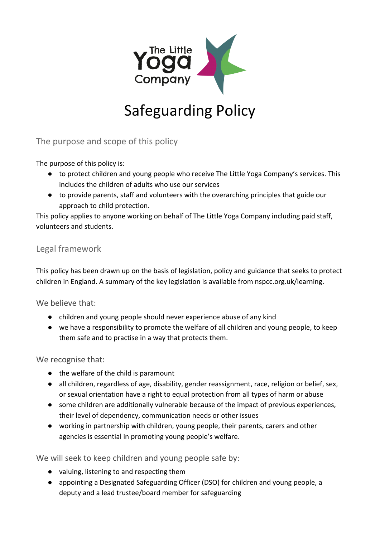

## Safeguarding Policy

The purpose and scope of this policy

The purpose of this policy is:

- to protect children and young people who receive The Little Yoga Company's services. This includes the children of adults who use our services
- to provide parents, staff and volunteers with the overarching principles that guide our approach to child protection.

This policy applies to anyone working on behalf of The Little Yoga Company including paid staff, volunteers and students.

## Legal framework

This policy has been drawn up on the basis of legislation, policy and guidance that seeks to protect children in England. A summary of the key legislation is available from nspcc.org.uk/learning.

We believe that:

- children and young people should never experience abuse of any kind
- we have a responsibility to promote the welfare of all children and young people, to keep them safe and to practise in a way that protects them.

We recognise that:

- the welfare of the child is paramount
- all children, regardless of age, disability, gender reassignment, race, religion or belief, sex, or sexual orientation have a right to equal protection from all types of harm or abuse
- some children are additionally vulnerable because of the impact of previous experiences, their level of dependency, communication needs or other issues
- working in partnership with children, young people, their parents, carers and other agencies is essential in promoting young people's welfare.

We will seek to keep children and young people safe by:

- valuing, listening to and respecting them
- appointing a Designated Safeguarding Officer (DSO) for children and young people, a deputy and a lead trustee/board member for safeguarding